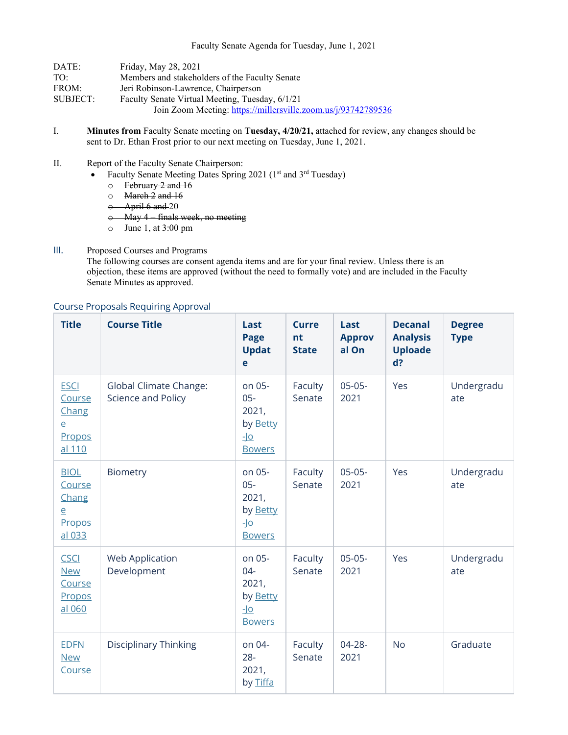| DATE:    | Friday, May 28, 2021                                          |
|----------|---------------------------------------------------------------|
| TO:      | Members and stakeholders of the Faculty Senate                |
| FROM:    | Jeri Robinson-Lawrence, Chairperson                           |
| SUBJECT: | Faculty Senate Virtual Meeting, Tuesday, 6/1/21               |
|          | Join Zoom Meeting: https://millersville.zoom.us/j/93742789536 |

- I. **Minutes from** Faculty Senate meeting on **Tuesday, 4/20/21,** attached for review, any changes should be sent to Dr. Ethan Frost prior to our next meeting on Tuesday, June 1, 2021.
- II. Report of the Faculty Senate Chairperson:
	- Faculty Senate Meeting Dates Spring 2021 ( $1<sup>st</sup>$  and  $3<sup>rd</sup>$  Tuesday)
		- $\circ$  February 2 and 16
		- o March 2 and 16
		- $\leftrightarrow$  April 6 and 20
		- o May 4 finals week, no meeting
		- o June 1, at 3:00 pm
- III. Proposed Courses and Programs

The following courses are consent agenda items and are for your final review. Unless there is an objection, these items are approved (without the need to formally vote) and are included in the Faculty Senate Minutes as approved.

| <b>Title</b>                                                         | <b>Course Title</b>                                 | Last<br>Page<br><b>Updat</b><br>e                                                  | <b>Curre</b><br>nt<br><b>State</b> | Last<br><b>Approv</b><br>al On | <b>Decanal</b><br><b>Analysis</b><br><b>Uploade</b><br>$d$ ? | <b>Degree</b><br><b>Type</b> |
|----------------------------------------------------------------------|-----------------------------------------------------|------------------------------------------------------------------------------------|------------------------------------|--------------------------------|--------------------------------------------------------------|------------------------------|
| <b>ESCI</b><br>Course<br>Chang<br>$\overline{e}$<br>Propos<br>al 110 | <b>Global Climate Change:</b><br>Science and Policy | on 05-<br>$05 -$<br>2021,<br>by Betty<br>$\underline{\mathsf{L}}$<br><b>Bowers</b> | Faculty<br>Senate                  | $05-05-$<br>2021               | Yes                                                          | Undergradu<br>ate            |
| <b>BIOL</b><br>Course<br>Chang<br>$\overline{e}$<br>Propos<br>al 033 | Biometry                                            | on 05-<br>$05 -$<br>2021,<br>by Betty<br>$\overline{\mathsf{Q}}$<br><b>Bowers</b>  | Faculty<br>Senate                  | $05-05-$<br>2021               | Yes                                                          | Undergradu<br>ate            |
| <b>CSCI</b><br><b>New</b><br>Course<br>Propos<br>al 060              | <b>Web Application</b><br>Development               | on 05-<br>$04 -$<br>2021,<br>by Betty<br><u>-lo</u><br><b>Bowers</b>               | Faculty<br>Senate                  | $05-05-$<br>2021               | Yes                                                          | Undergradu<br>ate            |
| <b>EDFN</b><br><b>New</b><br>Course                                  | <b>Disciplinary Thinking</b>                        | on 04-<br>$28 -$<br>2021,<br>by Tiffa                                              | Faculty<br>Senate                  | $04 - 28 -$<br>2021            | <b>No</b>                                                    | Graduate                     |

## Course Proposals Requiring Approval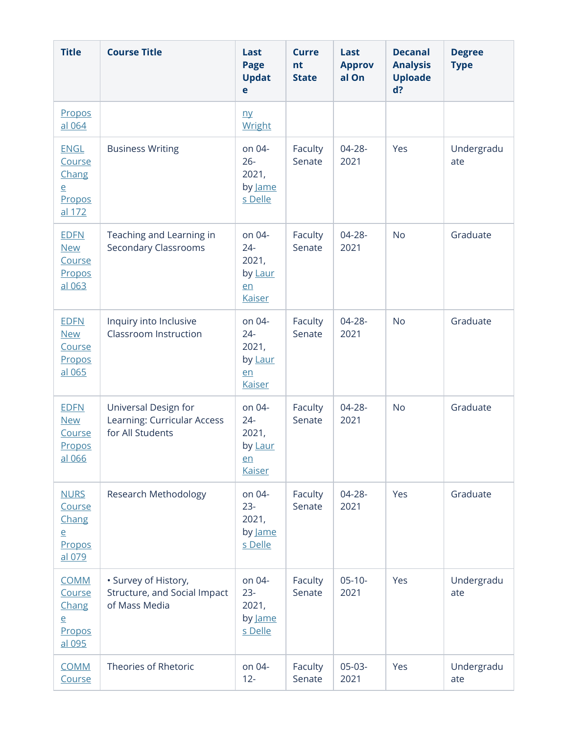| <b>Title</b>                                                         | <b>Course Title</b>                                                     | Last<br>Page<br><b>Updat</b><br>e                           | <b>Curre</b><br>nt<br><b>State</b> | Last<br><b>Approv</b><br>al On | <b>Decanal</b><br><b>Analysis</b><br><b>Uploade</b><br>$d$ ? | <b>Degree</b><br><b>Type</b> |
|----------------------------------------------------------------------|-------------------------------------------------------------------------|-------------------------------------------------------------|------------------------------------|--------------------------------|--------------------------------------------------------------|------------------------------|
| Propos<br>al 064                                                     |                                                                         | n <b>y</b><br>Wright                                        |                                    |                                |                                                              |                              |
| <b>ENGL</b><br>Course<br>Chang<br>$\overline{e}$<br>Propos<br>al 172 | <b>Business Writing</b>                                                 | on 04-<br>$26 -$<br>2021,<br>by Jame<br>s Delle             | Faculty<br>Senate                  | 04-28-<br>2021                 | Yes                                                          | Undergradu<br>ate            |
| <b>EDFN</b><br><b>New</b><br>Course<br>Propos<br>al 063              | Teaching and Learning in<br><b>Secondary Classrooms</b>                 | on 04-<br>$24 -$<br>2021,<br>by Laur<br>en<br><b>Kaiser</b> | Faculty<br>Senate                  | 04-28-<br>2021                 | <b>No</b>                                                    | Graduate                     |
| <b>EDFN</b><br><b>New</b><br>Course<br>Propos<br>al 065              | Inquiry into Inclusive<br>Classroom Instruction                         | on 04-<br>$24 -$<br>2021,<br>by Laur<br>en<br><b>Kaiser</b> | Faculty<br>Senate                  | 04-28-<br>2021                 | <b>No</b>                                                    | Graduate                     |
| <b>EDFN</b><br><b>New</b><br>Course<br>Propos<br>al 066              | Universal Design for<br>Learning: Curricular Access<br>for All Students | on 04-<br>$24 -$<br>2021,<br>by Laur<br>en<br><b>Kaiser</b> | Faculty<br>Senate                  | 04-28-<br>2021                 | <b>No</b>                                                    | Graduate                     |
| <b>NURS</b><br>Course<br>Chang<br>e<br>Propos<br>al 079              | Research Methodology                                                    | on 04-<br>$23 -$<br>2021,<br>by Jame<br>s Delle             | Faculty<br>Senate                  | 04-28-<br>2021                 | Yes                                                          | Graduate                     |
| <b>COMM</b><br>Course<br>Chang<br>$\overline{e}$<br>Propos<br>al 095 | · Survey of History,<br>Structure, and Social Impact<br>of Mass Media   | on 04-<br>$23 -$<br>2021,<br>by Jame<br>s Delle             | Faculty<br>Senate                  | $05 - 10 -$<br>2021            | Yes                                                          | Undergradu<br>ate            |
| <b>COMM</b><br>Course                                                | Theories of Rhetoric                                                    | on 04-<br>$12 -$                                            | Faculty<br>Senate                  | $05-03-$<br>2021               | Yes                                                          | Undergradu<br>ate            |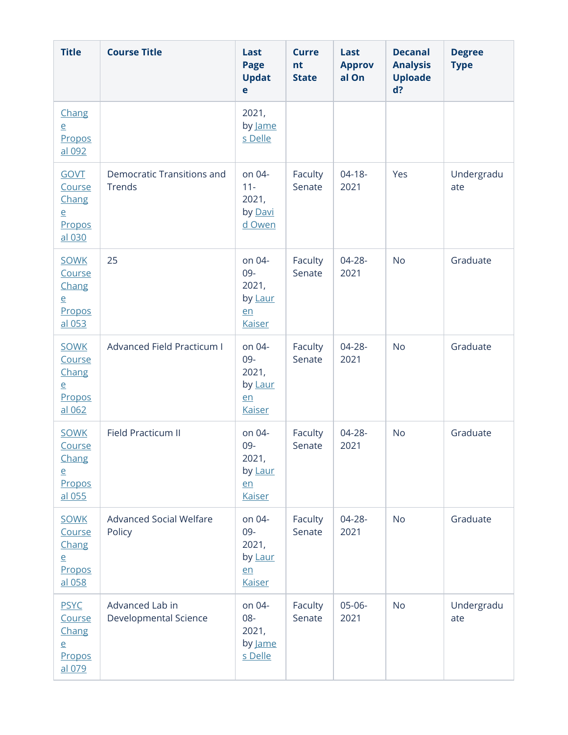| <b>Title</b>                                                         | <b>Course Title</b>                         | Last<br>Page<br><b>Updat</b><br>e                        | <b>Curre</b><br>nt<br><b>State</b> | Last<br><b>Approv</b><br>al On | <b>Decanal</b><br><b>Analysis</b><br><b>Uploade</b><br>d? | <b>Degree</b><br><b>Type</b> |
|----------------------------------------------------------------------|---------------------------------------------|----------------------------------------------------------|------------------------------------|--------------------------------|-----------------------------------------------------------|------------------------------|
| Chang<br>$\overline{e}$<br>Propos<br>al 092                          |                                             | 2021,<br>by Jame<br>s Delle                              |                                    |                                |                                                           |                              |
| <b>GOVT</b><br>Course<br>Chang<br>$\overline{e}$<br>Propos<br>al 030 | <b>Democratic Transitions and</b><br>Trends | on 04-<br>$11 -$<br>2021,<br>by Davi<br>d Owen           | Faculty<br>Senate                  | $04-18-$<br>2021               | Yes                                                       | Undergradu<br>ate            |
| <b>SOWK</b><br>Course<br>Chang<br>$\overline{e}$<br>Propos<br>al 053 | 25                                          | on 04-<br>09-<br>2021,<br>by Laur<br>en<br><b>Kaiser</b> | Faculty<br>Senate                  | $04 - 28 -$<br>2021            | <b>No</b>                                                 | Graduate                     |
| <b>SOWK</b><br>Course<br>Chang<br>$\overline{e}$<br>Propos<br>al 062 | Advanced Field Practicum I                  | on 04-<br>09-<br>2021,<br>by Laur<br>en<br><b>Kaiser</b> | Faculty<br>Senate                  | 04-28-<br>2021                 | <b>No</b>                                                 | Graduate                     |
| <b>SOWK</b><br>Course<br>Chang<br>$\overline{e}$<br>Propos<br>al 055 | <b>Field Practicum II</b>                   | on 04-<br>09-<br>2021,<br>by Laur<br>en<br><b>Kaiser</b> | Faculty<br>Senate                  | 04-28-<br>2021                 | <b>No</b>                                                 | Graduate                     |
| <b>SOWK</b><br>Course<br>Chang<br>$\overline{e}$<br>Propos<br>al 058 | <b>Advanced Social Welfare</b><br>Policy    | on 04-<br>09-<br>2021,<br>by Laur<br>en<br><b>Kaiser</b> | Faculty<br>Senate                  | 04-28-<br>2021                 | <b>No</b>                                                 | Graduate                     |
| <b>PSYC</b><br>Course<br>Chang<br>$\overline{e}$<br>Propos<br>al 079 | Advanced Lab in<br>Developmental Science    | on 04-<br>08-<br>2021,<br>by <u>Jame</u><br>s Delle      | Faculty<br>Senate                  | $05-06-$<br>2021               | <b>No</b>                                                 | Undergradu<br>ate            |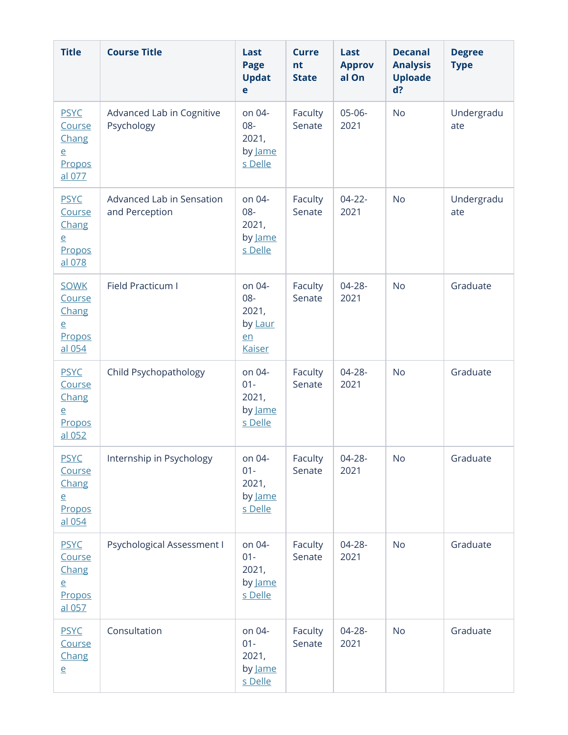| <b>Title</b>                                                         | <b>Course Title</b>                         | Last<br>Page<br><b>Updat</b><br>e                        | <b>Curre</b><br>nt<br><b>State</b> | Last<br><b>Approv</b><br>al On | <b>Decanal</b><br><b>Analysis</b><br><b>Uploade</b><br>d? | <b>Degree</b><br><b>Type</b> |
|----------------------------------------------------------------------|---------------------------------------------|----------------------------------------------------------|------------------------------------|--------------------------------|-----------------------------------------------------------|------------------------------|
| <b>PSYC</b><br>Course<br>Chang<br>$\overline{e}$<br>Propos<br>al 077 | Advanced Lab in Cognitive<br>Psychology     | on 04-<br>08-<br>2021,<br>by Jame<br>s Delle             | Faculty<br>Senate                  | $05-06-$<br>2021               | <b>No</b>                                                 | Undergradu<br>ate            |
| <b>PSYC</b><br>Course<br>Chang<br>$\overline{e}$<br>Propos<br>al 078 | Advanced Lab in Sensation<br>and Perception | on 04-<br>08-<br>2021,<br>by Jame<br>s Delle             | Faculty<br>Senate                  | $04 - 22 -$<br>2021            | <b>No</b>                                                 | Undergradu<br>ate            |
| <b>SOWK</b><br>Course<br>Chang<br>$\overline{e}$<br>Propos<br>al 054 | Field Practicum I                           | on 04-<br>08-<br>2021,<br>by Laur<br>en<br><b>Kaiser</b> | Faculty<br>Senate                  | 04-28-<br>2021                 | <b>No</b>                                                 | Graduate                     |
| <b>PSYC</b><br>Course<br>Chang<br>$\overline{e}$<br>Propos<br>al 052 | Child Psychopathology                       | on 04-<br>$01 -$<br>2021,<br>by Jame<br>s Delle          | Faculty<br>Senate                  | 04-28-<br>2021                 | <b>No</b>                                                 | Graduate                     |
| <b>PSYC</b><br>Course<br>Chang<br>$\overline{e}$<br>Propos<br>al 054 | Internship in Psychology                    | on 04-<br>$01 -$<br>2021,<br>by <u>Jame</u><br>s Delle   | Faculty<br>Senate                  | 04-28-<br>2021                 | No                                                        | Graduate                     |
| <b>PSYC</b><br>Course<br>Chang<br>$\overline{e}$<br>Propos<br>al 057 | Psychological Assessment I                  | on 04-<br>$01 -$<br>2021,<br>by Jame<br>s Delle          | Faculty<br>Senate                  | 04-28-<br>2021                 | <b>No</b>                                                 | Graduate                     |
| <b>PSYC</b><br>Course<br>Chang<br>$\overline{e}$                     | Consultation                                | on 04-<br>$01 -$<br>2021,<br>by Jame<br>s Delle          | Faculty<br>Senate                  | $04 - 28 -$<br>2021            | <b>No</b>                                                 | Graduate                     |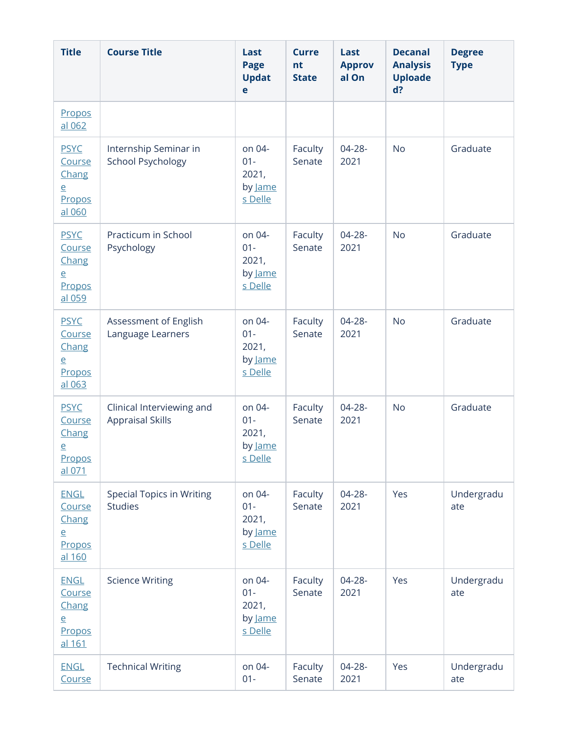| <b>Title</b>                                                         | <b>Course Title</b>                                  | Last<br><b>Page</b><br><b>Updat</b><br>e        | <b>Curre</b><br>nt<br><b>State</b> | Last<br><b>Approv</b><br>al On | <b>Decanal</b><br><b>Analysis</b><br><b>Uploade</b><br>d? | <b>Degree</b><br><b>Type</b> |
|----------------------------------------------------------------------|------------------------------------------------------|-------------------------------------------------|------------------------------------|--------------------------------|-----------------------------------------------------------|------------------------------|
| Propos<br>al 062                                                     |                                                      |                                                 |                                    |                                |                                                           |                              |
| <b>PSYC</b><br>Course<br>Chang<br>$\overline{e}$<br>Propos<br>al 060 | Internship Seminar in<br><b>School Psychology</b>    | on 04-<br>$01 -$<br>2021,<br>by Jame<br>s Delle | Faculty<br>Senate                  | $04 - 28 -$<br>2021            | <b>No</b>                                                 | Graduate                     |
| <b>PSYC</b><br>Course<br>Chang<br>$\overline{e}$<br>Propos<br>al 059 | Practicum in School<br>Psychology                    | on 04-<br>$01 -$<br>2021,<br>by Jame<br>s Delle | Faculty<br>Senate                  | $04 - 28 -$<br>2021            | <b>No</b>                                                 | Graduate                     |
| <b>PSYC</b><br>Course<br>Chang<br>$\overline{e}$<br>Propos<br>al 063 | Assessment of English<br>Language Learners           | on 04-<br>$01 -$<br>2021,<br>by Jame<br>s Delle | Faculty<br>Senate                  | $04 - 28 -$<br>2021            | <b>No</b>                                                 | Graduate                     |
| <b>PSYC</b><br>Course<br>Chang<br>$\overline{e}$<br>Propos<br>al 071 | Clinical Interviewing and<br><b>Appraisal Skills</b> | on 04-<br>$01 -$<br>2021,<br>by Jame<br>s Delle | Faculty<br>Senate                  | $04 - 28 -$<br>2021            | <b>No</b>                                                 | Graduate                     |
| <b>ENGL</b><br>Course<br>Chang<br>$\overline{e}$<br>Propos<br>al 160 | <b>Special Topics in Writing</b><br><b>Studies</b>   | on 04-<br>$01 -$<br>2021,<br>by Jame<br>s Delle | Faculty<br>Senate                  | $04 - 28 -$<br>2021            | Yes                                                       | Undergradu<br>ate            |
| <b>ENGL</b><br>Course<br>Chang<br>$\overline{e}$<br>Propos<br>al 161 | <b>Science Writing</b>                               | on 04-<br>$01 -$<br>2021,<br>by Jame<br>s Delle | Faculty<br>Senate                  | $04 - 28 -$<br>2021            | Yes                                                       | Undergradu<br>ate            |
| <b>ENGL</b><br>Course                                                | <b>Technical Writing</b>                             | on 04-<br>$01 -$                                | Faculty<br>Senate                  | 04-28-<br>2021                 | Yes                                                       | Undergradu<br>ate            |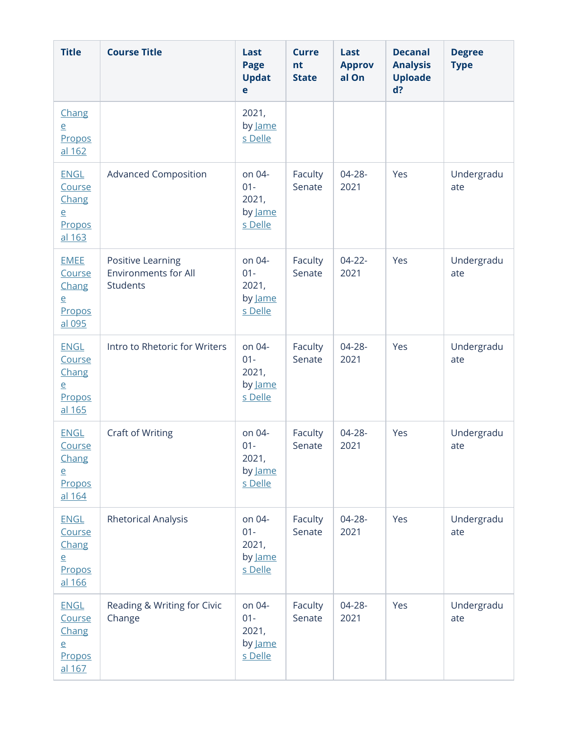| <b>Title</b>                                                         | <b>Course Title</b>                                          | Last<br><b>Page</b><br><b>Updat</b><br>e        | <b>Curre</b><br>nt<br><b>State</b> | Last<br><b>Approv</b><br>al On | <b>Decanal</b><br><b>Analysis</b><br><b>Uploade</b><br>d? | <b>Degree</b><br><b>Type</b> |
|----------------------------------------------------------------------|--------------------------------------------------------------|-------------------------------------------------|------------------------------------|--------------------------------|-----------------------------------------------------------|------------------------------|
| Chang<br>$\overline{e}$<br>Propos<br>al 162                          |                                                              | 2021,<br>by Jame<br>s Delle                     |                                    |                                |                                                           |                              |
| <b>ENGL</b><br>Course<br>Chang<br>$\overline{e}$<br>Propos<br>al 163 | <b>Advanced Composition</b>                                  | on 04-<br>$01 -$<br>2021,<br>by Jame<br>s Delle | Faculty<br>Senate                  | $04 - 28 -$<br>2021            | Yes                                                       | Undergradu<br>ate            |
| <b>EMEE</b><br>Course<br>Chang<br>$\overline{e}$<br>Propos<br>al 095 | Positive Learning<br><b>Environments for All</b><br>Students | on 04-<br>$01 -$<br>2021,<br>by Jame<br>s Delle | Faculty<br>Senate                  | $04 - 22 -$<br>2021            | Yes                                                       | Undergradu<br>ate            |
| <b>ENGL</b><br>Course<br>Chang<br>$\overline{e}$<br>Propos<br>al 165 | Intro to Rhetoric for Writers                                | on 04-<br>$01 -$<br>2021,<br>by Jame<br>s Delle | Faculty<br>Senate                  | $04 - 28 -$<br>2021            | Yes                                                       | Undergradu<br>ate            |
| <b>ENGL</b><br>Course<br>Chang<br>$\overline{e}$<br>Propos<br>al 164 | <b>Craft of Writing</b>                                      | on 04-<br>$01 -$<br>2021,<br>by Jame<br>s Delle | Faculty<br>Senate                  | $04 - 28 -$<br>2021            | Yes                                                       | Undergradu<br>ate            |
| <b>ENGL</b><br>Course<br>Chang<br>$\overline{e}$<br>Propos<br>al 166 | <b>Rhetorical Analysis</b>                                   | on 04-<br>$01 -$<br>2021,<br>by Jame<br>s Delle | Faculty<br>Senate                  | $04 - 28 -$<br>2021            | Yes                                                       | Undergradu<br>ate            |
| <b>ENGL</b><br>Course<br>Chang<br>$\overline{e}$<br>Propos<br>al 167 | Reading & Writing for Civic<br>Change                        | on 04-<br>$01 -$<br>2021,<br>by Jame<br>s Delle | Faculty<br>Senate                  | $04 - 28 -$<br>2021            | Yes                                                       | Undergradu<br>ate            |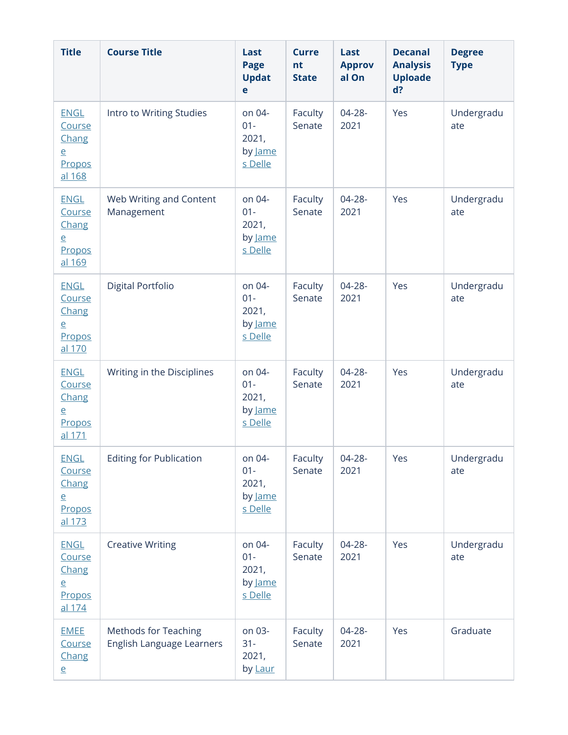| <b>Title</b>                                                         | <b>Course Title</b>                                      | Last<br>Page<br><b>Updat</b><br>e                      | <b>Curre</b><br>nt<br><b>State</b> | Last<br><b>Approv</b><br>al On | <b>Decanal</b><br><b>Analysis</b><br><b>Uploade</b><br>d? | <b>Degree</b><br><b>Type</b> |
|----------------------------------------------------------------------|----------------------------------------------------------|--------------------------------------------------------|------------------------------------|--------------------------------|-----------------------------------------------------------|------------------------------|
| <b>ENGL</b><br>Course<br>Chang<br>$\overline{e}$<br>Propos<br>al 168 | Intro to Writing Studies                                 | on 04-<br>$01 -$<br>2021,<br>by Jame<br>s Delle        | Faculty<br>Senate                  | $04 - 28 -$<br>2021            | Yes                                                       | Undergradu<br>ate            |
| <b>ENGL</b><br>Course<br>Chang<br>$\overline{e}$<br>Propos<br>al 169 | Web Writing and Content<br>Management                    | on 04-<br>$01 -$<br>2021,<br>by Jame<br>s Delle        | Faculty<br>Senate                  | $04 - 28 -$<br>2021            | Yes                                                       | Undergradu<br>ate            |
| <b>ENGL</b><br>Course<br>Chang<br>$\overline{e}$<br>Propos<br>al 170 | Digital Portfolio                                        | on 04-<br>$01 -$<br>2021,<br>by Jame<br>s Delle        | Faculty<br>Senate                  | $04 - 28 -$<br>2021            | Yes                                                       | Undergradu<br>ate            |
| <b>ENGL</b><br>Course<br>Chang<br>$\overline{e}$<br>Propos<br>al 171 | Writing in the Disciplines                               | on 04-<br>$01 -$<br>2021,<br>by <u>lame</u><br>s Delle | Faculty<br>Senate                  | $04 - 28 -$<br>2021            | Yes                                                       | Undergradu<br>ate            |
| <b>ENGL</b><br>Course<br>Chang<br>$\overline{e}$<br>Propos<br>al 173 | <b>Editing for Publication</b>                           | on 04-<br>$01 -$<br>2021,<br>by Jame<br>s Delle        | Faculty<br>Senate                  | 04-28-<br>2021                 | Yes                                                       | Undergradu<br>ate            |
| <b>ENGL</b><br>Course<br>Chang<br>$\overline{e}$<br>Propos<br>al 174 | <b>Creative Writing</b>                                  | on 04-<br>$01 -$<br>2021,<br>by Jame<br>s Delle        | Faculty<br>Senate                  | 04-28-<br>2021                 | Yes                                                       | Undergradu<br>ate            |
| <b>EMEE</b><br>Course<br>Chang<br>$\overline{e}$                     | <b>Methods for Teaching</b><br>English Language Learners | on 03-<br>$31 -$<br>2021,<br>by Laur                   | Faculty<br>Senate                  | 04-28-<br>2021                 | Yes                                                       | Graduate                     |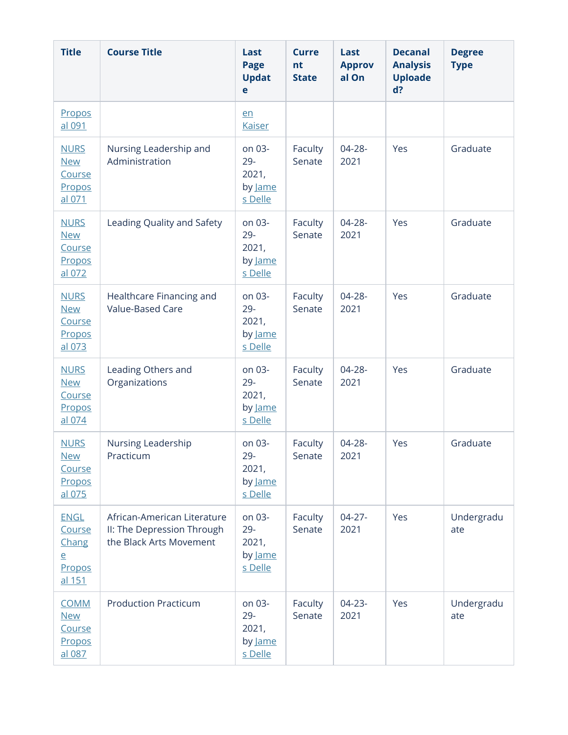| <b>Title</b>                                                         | <b>Course Title</b>                                                                  | Last<br><b>Page</b><br><b>Updat</b><br>e        | <b>Curre</b><br>nt<br><b>State</b> | Last<br><b>Approv</b><br>al On | <b>Decanal</b><br><b>Analysis</b><br><b>Uploade</b><br>d? | <b>Degree</b><br><b>Type</b> |
|----------------------------------------------------------------------|--------------------------------------------------------------------------------------|-------------------------------------------------|------------------------------------|--------------------------------|-----------------------------------------------------------|------------------------------|
| Propos<br>al 091                                                     |                                                                                      | en<br><b>Kaiser</b>                             |                                    |                                |                                                           |                              |
| <b>NURS</b><br><b>New</b><br>Course<br>Propos<br>al 071              | Nursing Leadership and<br>Administration                                             | on 03-<br>$29 -$<br>2021,<br>by Jame<br>s Delle | Faculty<br>Senate                  | $04 - 28 -$<br>2021            | Yes                                                       | Graduate                     |
| <b>NURS</b><br><b>New</b><br>Course<br>Propos<br>al 072              | Leading Quality and Safety                                                           | on 03-<br>29-<br>2021,<br>by Jame<br>s Delle    | Faculty<br>Senate                  | 04-28-<br>2021                 | Yes                                                       | Graduate                     |
| <b>NURS</b><br><b>New</b><br>Course<br>Propos<br>al 073              | Healthcare Financing and<br>Value-Based Care                                         | on 03-<br>$29 -$<br>2021,<br>by Jame<br>s Delle | Faculty<br>Senate                  | 04-28-<br>2021                 | Yes                                                       | Graduate                     |
| <b>NURS</b><br><b>New</b><br>Course<br>Propos<br>al 074              | Leading Others and<br>Organizations                                                  | on 03-<br>$29 -$<br>2021,<br>by Jame<br>s Delle | Faculty<br>Senate                  | $04 - 28 -$<br>2021            | Yes                                                       | Graduate                     |
| <b>NURS</b><br><b>New</b><br><b>Course</b><br>Propos<br>al 075       | Nursing Leadership<br>Practicum                                                      | on 03-<br>29-<br>2021,<br>by Jame<br>s Delle    | Faculty<br>Senate                  | $04 - 28 -$<br>2021            | Yes                                                       | Graduate                     |
| <b>ENGL</b><br>Course<br>Chang<br>$\overline{e}$<br>Propos<br>al 151 | African-American Literature<br>II: The Depression Through<br>the Black Arts Movement | on 03-<br>29-<br>2021,<br>by Jame<br>s Delle    | Faculty<br>Senate                  | $04 - 27 -$<br>2021            | Yes                                                       | Undergradu<br>ate            |
| <b>COMM</b><br><b>New</b><br>Course<br>Propos<br>al 087              | <b>Production Practicum</b>                                                          | on 03-<br>$29 -$<br>2021,<br>by Jame<br>s Delle | Faculty<br>Senate                  | $04 - 23 -$<br>2021            | Yes                                                       | Undergradu<br>ate            |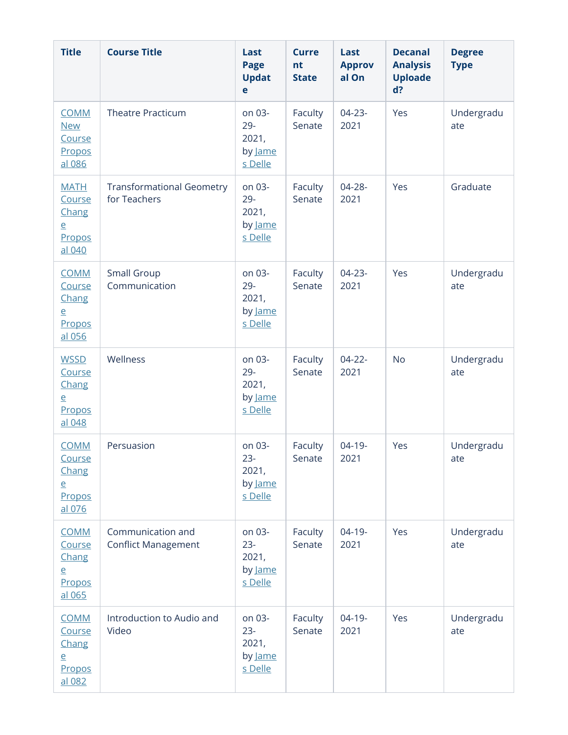| <b>Title</b>                                                         | <b>Course Title</b>                              | Last<br><b>Page</b><br><b>Updat</b><br>e        | <b>Curre</b><br>nt<br><b>State</b> | Last<br><b>Approv</b><br>al On | <b>Decanal</b><br><b>Analysis</b><br><b>Uploade</b><br>d? | <b>Degree</b><br><b>Type</b> |
|----------------------------------------------------------------------|--------------------------------------------------|-------------------------------------------------|------------------------------------|--------------------------------|-----------------------------------------------------------|------------------------------|
| <b>COMM</b><br><b>New</b><br>Course<br>Propos<br>al 086              | <b>Theatre Practicum</b>                         | on 03-<br>$29 -$<br>2021,<br>by Jame<br>s Delle | Faculty<br>Senate                  | $04 - 23 -$<br>2021            | Yes                                                       | Undergradu<br>ate            |
| <b>MATH</b><br>Course<br>Chang<br>$\overline{e}$<br>Propos<br>al 040 | <b>Transformational Geometry</b><br>for Teachers | on 03-<br>$29 -$<br>2021,<br>by Jame<br>s Delle | Faculty<br>Senate                  | $04 - 28 -$<br>2021            | Yes                                                       | Graduate                     |
| <b>COMM</b><br>Course<br>Chang<br>$\overline{e}$<br>Propos<br>al 056 | Small Group<br>Communication                     | on 03-<br>$29 -$<br>2021,<br>by Jame<br>s Delle | Faculty<br>Senate                  | $04 - 23 -$<br>2021            | Yes                                                       | Undergradu<br>ate            |
| <b>WSSD</b><br>Course<br>Chang<br>$\overline{e}$<br>Propos<br>al 048 | Wellness                                         | on 03-<br>$29 -$<br>2021,<br>by Jame<br>s Delle | Faculty<br>Senate                  | $04 - 22 -$<br>2021            | <b>No</b>                                                 | Undergradu<br>ate            |
| <b>COMM</b><br>Course<br>Chang<br>$\overline{e}$<br>Propos<br>al 076 | Persuasion                                       | on 03-<br>$23 -$<br>2021,<br>by Jame<br>s Delle | Faculty<br>Senate                  | $04 - 19 -$<br>2021            | Yes                                                       | Undergradu<br>ate            |
| <b>COMM</b><br>Course<br>Chang<br>$\overline{e}$<br>Propos<br>al 065 | Communication and<br><b>Conflict Management</b>  | on 03-<br>$23 -$<br>2021,<br>by Jame<br>s Delle | Faculty<br>Senate                  | $04-19-$<br>2021               | Yes                                                       | Undergradu<br>ate            |
| <b>COMM</b><br>Course<br>Chang<br>$\overline{e}$<br>Propos<br>al 082 | Introduction to Audio and<br>Video               | on 03-<br>$23 -$<br>2021,<br>by Jame<br>s Delle | Faculty<br>Senate                  | $04-19-$<br>2021               | Yes                                                       | Undergradu<br>ate            |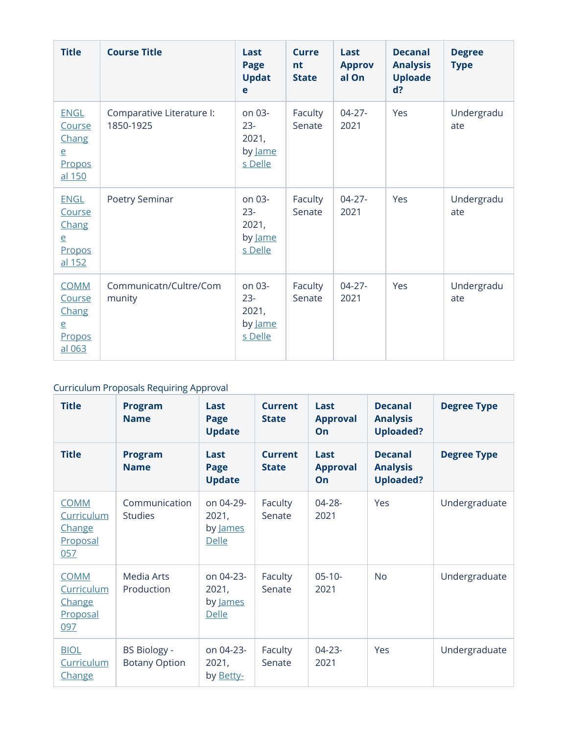| <b>Title</b>                                                         | <b>Course Title</b>                    | Last<br>Page<br><b>Updat</b><br>e                      | Curre<br>nt<br><b>State</b> | Last<br><b>Approv</b><br>al On | <b>Decanal</b><br><b>Analysis</b><br><b>Uploade</b><br>$d$ ? | <b>Degree</b><br><b>Type</b> |
|----------------------------------------------------------------------|----------------------------------------|--------------------------------------------------------|-----------------------------|--------------------------------|--------------------------------------------------------------|------------------------------|
| <b>ENGL</b><br>Course<br>Chang<br>e<br>Propos<br>al 150              | Comparative Literature I:<br>1850-1925 | on 03-<br>$23 -$<br>2021,<br>by Jame<br>s Delle        | Faculty<br>Senate           | $04 - 27 -$<br>2021            | Yes                                                          | Undergradu<br>ate            |
| <b>ENGL</b><br>Course<br>Chang<br>$\overline{e}$<br>Propos<br>al 152 | Poetry Seminar                         | on 03-<br>$23 -$<br>2021,<br>by Jame<br>s Delle        | Faculty<br>Senate           | $04 - 27 -$<br>2021            | Yes                                                          | Undergradu<br>ate            |
| <b>COMM</b><br>Course<br>Chang<br>$\overline{e}$<br>Propos<br>al 063 | Communicatn/Cultre/Com<br>munity       | on 03-<br>$23 -$<br>2021,<br>by <u>Jame</u><br>s Delle | Faculty<br>Senate           | $04 - 27 -$<br>2021            | Yes                                                          | Undergradu<br>ate            |

## Curriculum Proposals Requiring Approval

| <b>Title</b>                                           | <b>Program</b><br><b>Name</b>               | Last<br>Page<br><b>Update</b>                  | <b>Current</b><br><b>State</b> | Last<br><b>Approval</b><br>On | <b>Decanal</b><br><b>Analysis</b><br><b>Uploaded?</b> | <b>Degree Type</b> |
|--------------------------------------------------------|---------------------------------------------|------------------------------------------------|--------------------------------|-------------------------------|-------------------------------------------------------|--------------------|
| <b>Title</b>                                           | <b>Program</b><br><b>Name</b>               | Last<br>Page<br><b>Update</b>                  | Current<br><b>State</b>        | Last<br><b>Approval</b><br>On | <b>Decanal</b><br><b>Analysis</b><br><b>Uploaded?</b> | <b>Degree Type</b> |
| <b>COMM</b><br>Curriculum<br>Change<br>Proposal<br>057 | Communication<br><b>Studies</b>             | on 04-29-<br>2021,<br>by James<br><b>Delle</b> | Faculty<br>Senate              | $04 - 28 -$<br>2021           | Yes                                                   | Undergraduate      |
| <b>COMM</b><br>Curriculum<br>Change<br>Proposal<br>097 | Media Arts<br>Production                    | on 04-23-<br>2021,<br>by James<br><b>Delle</b> | Faculty<br>Senate              | $05 - 10 -$<br>2021           | <b>No</b>                                             | Undergraduate      |
| <b>BIOL</b><br>Curriculum<br>Change                    | <b>BS Biology -</b><br><b>Botany Option</b> | on 04-23-<br>2021,<br>by Betty-                | Faculty<br>Senate              | $04 - 23 -$<br>2021           | Yes                                                   | Undergraduate      |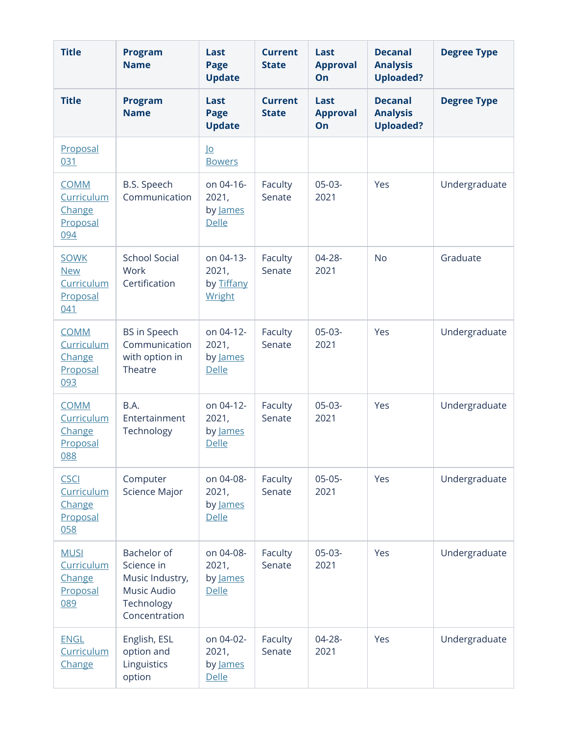| <b>Title</b>                                               | <b>Program</b><br><b>Name</b>                                                              | Last<br>Page<br><b>Update</b>                  | <b>Current</b><br><b>State</b> | Last<br><b>Approval</b><br>On | <b>Decanal</b><br><b>Analysis</b><br><b>Uploaded?</b> | <b>Degree Type</b> |
|------------------------------------------------------------|--------------------------------------------------------------------------------------------|------------------------------------------------|--------------------------------|-------------------------------|-------------------------------------------------------|--------------------|
| <b>Title</b>                                               | <b>Program</b><br><b>Name</b>                                                              | Last<br>Page<br><b>Update</b>                  | <b>Current</b><br><b>State</b> | Last<br><b>Approval</b><br>On | <b>Decanal</b><br><b>Analysis</b><br><b>Uploaded?</b> | <b>Degree Type</b> |
| Proposal<br>031                                            |                                                                                            | <u>lo</u><br><b>Bowers</b>                     |                                |                               |                                                       |                    |
| <b>COMM</b><br>Curriculum<br>Change<br>Proposal<br>094     | B.S. Speech<br>Communication                                                               | on 04-16-<br>2021,<br>by James<br>Delle        | Faculty<br>Senate              | $05-03-$<br>2021              | Yes                                                   | Undergraduate      |
| <b>SOWK</b><br><b>New</b><br>Curriculum<br>Proposal<br>041 | <b>School Social</b><br>Work<br>Certification                                              | on 04-13-<br>2021,<br>by Tiffany<br>Wright     | Faculty<br>Senate              | $04 - 28 -$<br>2021           | <b>No</b>                                             | Graduate           |
| <b>COMM</b><br>Curriculum<br>Change<br>Proposal<br>093     | <b>BS</b> in Speech<br>Communication<br>with option in<br>Theatre                          | on 04-12-<br>2021,<br>by James<br><b>Delle</b> | Faculty<br>Senate              | $05-03-$<br>2021              | Yes                                                   | Undergraduate      |
| <b>COMM</b><br>Curriculum<br>Change<br>Proposal<br>088     | B.A.<br>Entertainment<br>Technology                                                        | on 04-12-<br>2021,<br>by James<br>Delle        | Faculty<br>Senate              | $05-03-$<br>2021              | Yes                                                   | Undergraduate      |
| <b>CSCI</b><br>Curriculum<br>Change<br>Proposal<br>058     | Computer<br><b>Science Major</b>                                                           | on 04-08-<br>2021,<br>by James<br>Delle        | Faculty<br>Senate              | $05-05-$<br>2021              | Yes                                                   | Undergraduate      |
| <b>MUSI</b><br>Curriculum<br>Change<br>Proposal<br>089     | Bachelor of<br>Science in<br>Music Industry,<br>Music Audio<br>Technology<br>Concentration | on 04-08-<br>2021,<br>by James<br>Delle        | Faculty<br>Senate              | $05-03-$<br>2021              | Yes                                                   | Undergraduate      |
| <b>ENGL</b><br>Curriculum<br>Change                        | English, ESL<br>option and<br>Linguistics<br>option                                        | on 04-02-<br>2021,<br>by James<br>Delle        | Faculty<br>Senate              | $04 - 28 -$<br>2021           | Yes                                                   | Undergraduate      |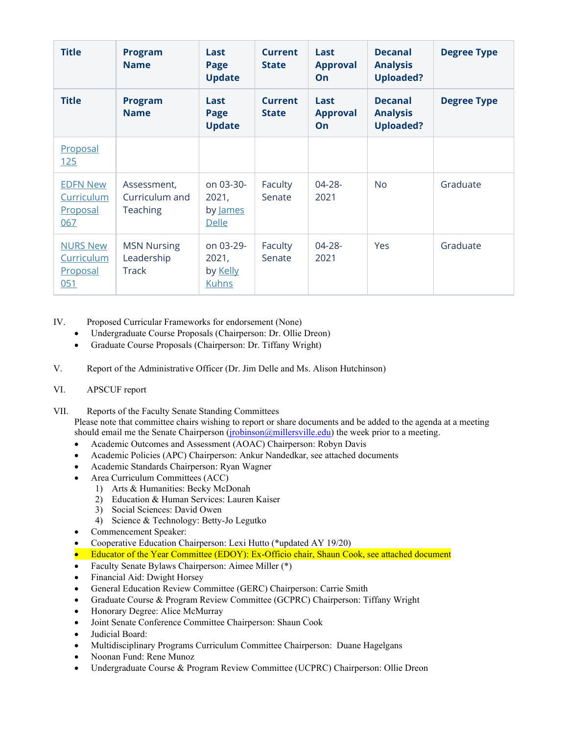| <b>Title</b>                                     | <b>Program</b><br><b>Name</b>                    | Last<br>Page<br><b>Update</b>                  | Current<br><b>State</b>        | Last<br><b>Approval</b><br>On | <b>Decanal</b><br><b>Analysis</b><br><b>Uploaded?</b> | <b>Degree Type</b> |
|--------------------------------------------------|--------------------------------------------------|------------------------------------------------|--------------------------------|-------------------------------|-------------------------------------------------------|--------------------|
| <b>Title</b>                                     | <b>Program</b><br><b>Name</b>                    | Last<br>Page<br><b>Update</b>                  | <b>Current</b><br><b>State</b> | Last<br><b>Approval</b><br>On | <b>Decanal</b><br><b>Analysis</b><br><b>Uploaded?</b> | <b>Degree Type</b> |
| Proposal<br>125                                  |                                                  |                                                |                                |                               |                                                       |                    |
| <b>EDFN New</b><br>Curriculum<br>Proposal<br>067 | Assessment,<br>Curriculum and<br><b>Teaching</b> | on 03-30-<br>2021,<br>by James<br>Delle        | Faculty<br>Senate              | $04 - 28 -$<br>2021           | <b>No</b>                                             | Graduate           |
| <b>NURS New</b><br>Curriculum<br>Proposal<br>051 | <b>MSN Nursing</b><br>Leadership<br><b>Track</b> | on 03-29-<br>2021,<br>by Kelly<br><b>Kuhns</b> | Faculty<br>Senate              | $04 - 28 -$<br>2021           | Yes                                                   | Graduate           |

IV. Proposed Curricular Frameworks for endorsement (None)

- Undergraduate Course Proposals (Chairperson: Dr. Ollie Dreon)
- Graduate Course Proposals (Chairperson: Dr. Tiffany Wright)
- V. Report of the Administrative Officer (Dr. Jim Delle and Ms. Alison Hutchinson)
- VI. APSCUF report

VII. Reports of the Faculty Senate Standing Committees

Please note that committee chairs wishing to report or share documents and be added to the agenda at a meeting should email me the Senate Chairperson (*jrobinson@millersville.edu*) the week prior to a meeting.

- Academic Outcomes and Assessment (AOAC) Chairperson: Robyn Davis
- Academic Policies (APC) Chairperson: Ankur Nandedkar, see attached documents
- Academic Standards Chairperson: Ryan Wagner
- Area Curriculum Committees (ACC)
	- 1) Arts & Humanities: Becky McDonah
	- 2) Education & Human Services: Lauren Kaiser
	- 3) Social Sciences: David Owen
	- 4) Science & Technology: Betty-Jo Legutko
- Commencement Speaker:
- Cooperative Education Chairperson: Lexi Hutto (\*updated AY 19/20)
- Educator of the Year Committee (EDOY): Ex-Officio chair, Shaun Cook, see attached document
- Faculty Senate Bylaws Chairperson: Aimee Miller (\*)
- Financial Aid: Dwight Horsey
- General Education Review Committee (GERC) Chairperson: Carrie Smith
- Graduate Course & Program Review Committee (GCPRC) Chairperson: Tiffany Wright
- Honorary Degree: Alice McMurray
- Joint Senate Conference Committee Chairperson: Shaun Cook
- Judicial Board:
- Multidisciplinary Programs Curriculum Committee Chairperson: Duane Hagelgans
- Noonan Fund: Rene Munoz
- Undergraduate Course & Program Review Committee (UCPRC) Chairperson: Ollie Dreon